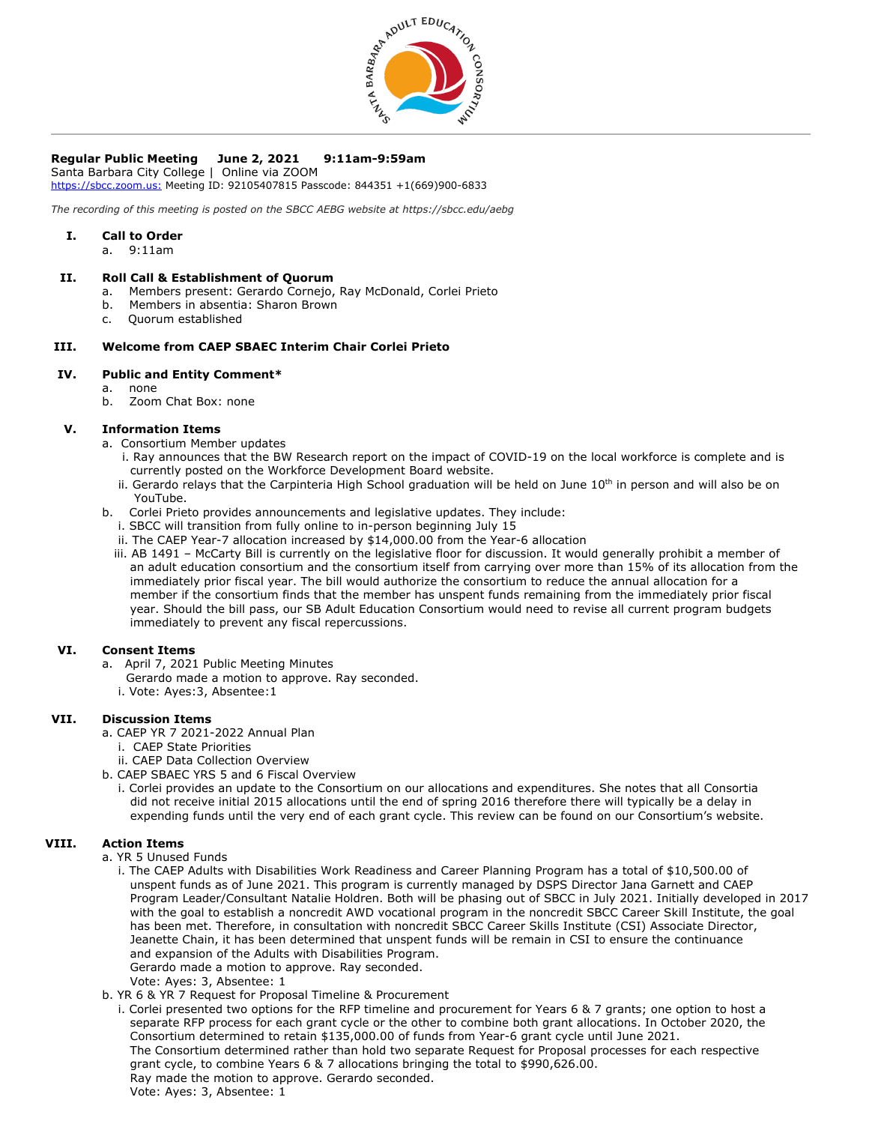

# **Regular Public Meeting June 2, 2021 9:11am-9:59am**

Santa Barbara City College | Online via ZOOM [https://sbcc.zoom.us:](https://sbcc.zoom.us/) Meeting ID: 92105407815 Passcode: 844351 +1(669)900-6833

*The recording of this meeting is posted on the SBCC AEBG website at https://sbcc.edu/aebg*

#### **I. Call to Order**

a. 9:11am

#### **II. Roll Call & Establishment of Quorum**

- a. Members present: Gerardo Cornejo, Ray McDonald, Corlei Prieto
- b. Members in absentia: Sharon Brown
- c. Quorum established

## **III. Welcome from CAEP SBAEC Interim Chair Corlei Prieto**

# **IV. Public and Entity Comment\***

- a. none
- b. Zoom Chat Box: none

#### **V. Information Items**

- a. Consortium Member updates
	- i. Ray announces that the BW Research report on the impact of COVID-19 on the local workforce is complete and is currently posted on the Workforce Development Board website.
	- ii. Gerardo relays that the Carpinteria High School graduation will be held on June 10<sup>th</sup> in person and will also be on YouTube.
- b. Corlei Prieto provides announcements and legislative updates. They include:
	- i. SBCC will transition from fully online to in-person beginning July 15
	- ii. The CAEP Year-7 allocation increased by \$14,000.00 from the Year-6 allocation
	- iii. AB 1491 McCarty Bill is currently on the legislative floor for discussion. It would generally prohibit a member of an adult education consortium and the consortium itself from carrying over more than 15% of its allocation from the immediately prior fiscal year. The bill would authorize the consortium to reduce the annual allocation for a member if the consortium finds that the member has unspent funds remaining from the immediately prior fiscal year. Should the bill pass, our SB Adult Education Consortium would need to revise all current program budgets immediately to prevent any fiscal repercussions.

## **VI. Consent Items**

- a. April 7, 2021 Public Meeting Minutes
	- Gerardo made a motion to approve. Ray seconded.
	- i. Vote: Ayes:3, Absentee:1

# **VII. Discussion Items**

- a. CAEP YR 7 2021-2022 Annual Plan
	- i. CAEP State Priorities
	- ii. CAEP Data Collection Overview
- b. CAEP SBAEC YRS 5 and 6 Fiscal Overview
	- i. Corlei provides an update to the Consortium on our allocations and expenditures. She notes that all Consortia did not receive initial 2015 allocations until the end of spring 2016 therefore there will typically be a delay in expending funds until the very end of each grant cycle. This review can be found on our Consortium's website.

## **VIII. Action Items**

- a. YR 5 Unused Funds
	- i. The CAEP Adults with Disabilities Work Readiness and Career Planning Program has a total of \$10,500.00 of unspent funds as of June 2021. This program is currently managed by DSPS Director Jana Garnett and CAEP Program Leader/Consultant Natalie Holdren. Both will be phasing out of SBCC in July 2021. Initially developed in 2017 with the goal to establish a noncredit AWD vocational program in the noncredit SBCC Career Skill Institute, the goal has been met. Therefore, in consultation with noncredit SBCC Career Skills Institute (CSI) Associate Director, Jeanette Chain, it has been determined that unspent funds will be remain in CSI to ensure the continuance and expansion of the Adults with Disabilities Program.
		- Gerardo made a motion to approve. Ray seconded.
		- Vote: Ayes: 3, Absentee: 1
- b. YR 6 & YR 7 Request for Proposal Timeline & Procurement

 i. Corlei presented two options for the RFP timeline and procurement for Years 6 & 7 grants; one option to host a separate RFP process for each grant cycle or the other to combine both grant allocations. In October 2020, the Consortium determined to retain \$135,000.00 of funds from Year-6 grant cycle until June 2021. The Consortium determined rather than hold two separate Request for Proposal processes for each respective grant cycle, to combine Years 6 & 7 allocations bringing the total to \$990,626.00. Ray made the motion to approve. Gerardo seconded. Vote: Ayes: 3, Absentee: 1